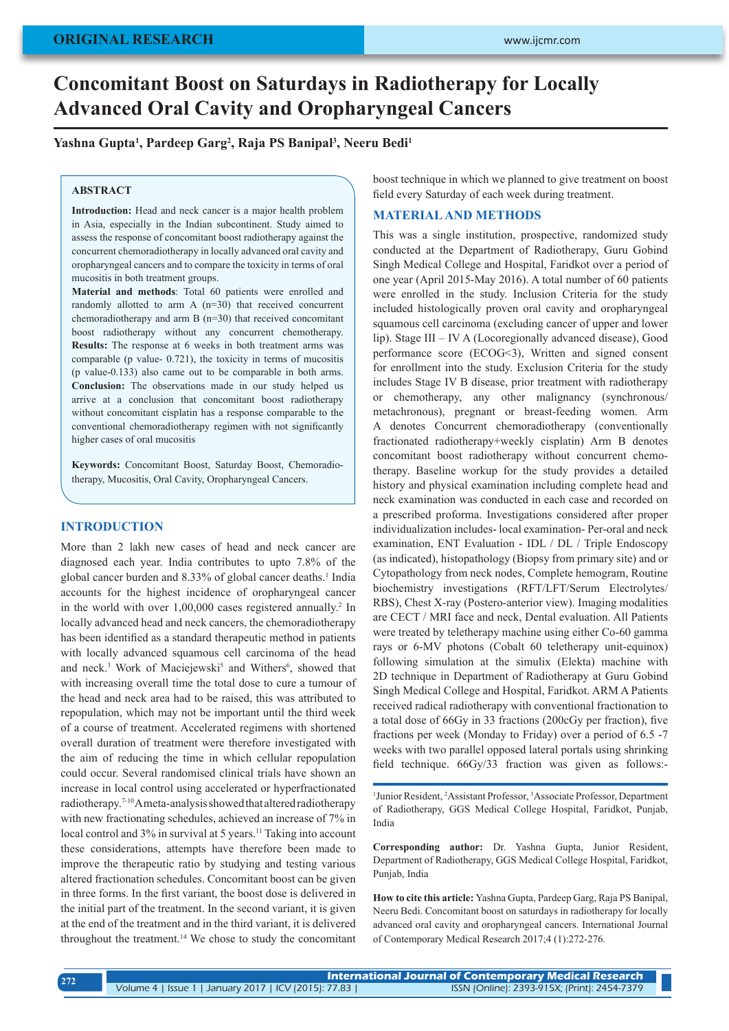# **Concomitant Boost on Saturdays in Radiotherapy for Locally Advanced Oral Cavity and Oropharyngeal Cancers**

**Yashna Gupta1 , Pardeep Garg2 , Raja PS Banipal3 , Neeru Bedi1**

#### **ABSTRACT**

**Introduction:** Head and neck cancer is a major health problem in Asia, especially in the Indian subcontinent. Study aimed to assess the response of concomitant boost radiotherapy against the concurrent chemoradiotherapy in locally advanced oral cavity and oropharyngeal cancers and to compare the toxicity in terms of oral mucositis in both treatment groups.

**Material and methods**: Total 60 patients were enrolled and randomly allotted to arm A (n=30) that received concurrent chemoradiotherapy and arm B (n=30) that received concomitant boost radiotherapy without any concurrent chemotherapy. **Results:** The response at 6 weeks in both treatment arms was comparable (p value- 0.721), the toxicity in terms of mucositis (p value-0.133) also came out to be comparable in both arms. **Conclusion:** The observations made in our study helped us arrive at a conclusion that concomitant boost radiotherapy without concomitant cisplatin has a response comparable to the conventional chemoradiotherapy regimen with not significantly higher cases of oral mucositis

**Keywords:** Concomitant Boost, Saturday Boost, Chemoradiotherapy, Mucositis, Oral Cavity, Oropharyngeal Cancers.

#### **INTRODUCTION**

More than 2 lakh new cases of head and neck cancer are diagnosed each year. India contributes to upto 7.8% of the global cancer burden and 8.33% of global cancer deaths.<sup>1</sup> India accounts for the highest incidence of oropharyngeal cancer in the world with over 1,00,000 cases registered annually.<sup>2</sup> In locally advanced head and neck cancers, the chemoradiotherapy has been identified as a standard therapeutic method in patients with locally advanced squamous cell carcinoma of the head and neck.<sup>3</sup> Work of Maciejewski<sup>5</sup> and Withers<sup>6</sup>, showed that with increasing overall time the total dose to cure a tumour of the head and neck area had to be raised, this was attributed to repopulation, which may not be important until the third week of a course of treatment. Accelerated regimens with shortened overall duration of treatment were therefore investigated with the aim of reducing the time in which cellular repopulation could occur. Several randomised clinical trials have shown an increase in local control using accelerated or hyperfractionated radiotherapy.7-10 A meta-analysis showed that altered radiotherapy with new fractionating schedules, achieved an increase of 7% in local control and 3% in survival at 5 years.<sup>11</sup> Taking into account these considerations, attempts have therefore been made to improve the therapeutic ratio by studying and testing various altered fractionation schedules. Concomitant boost can be given in three forms. In the first variant, the boost dose is delivered in the initial part of the treatment. In the second variant, it is given at the end of the treatment and in the third variant, it is delivered throughout the treatment.14 We chose to study the concomitant

boost technique in which we planned to give treatment on boost field every Saturday of each week during treatment.

## **MATERIAL AND METHODS**

This was a single institution, prospective, randomized study conducted at the Department of Radiotherapy, Guru Gobind Singh Medical College and Hospital, Faridkot over a period of one year (April 2015-May 2016). A total number of 60 patients were enrolled in the study. Inclusion Criteria for the study included histologically proven oral cavity and oropharyngeal squamous cell carcinoma (excluding cancer of upper and lower lip). Stage III – IV A (Locoregionally advanced disease), Good performance score (ECOG<3), Written and signed consent for enrollment into the study. Exclusion Criteria for the study includes Stage IV B disease, prior treatment with radiotherapy or chemotherapy, any other malignancy (synchronous/ metachronous), pregnant or breast-feeding women. Arm A denotes Concurrent chemoradiotherapy (conventionally fractionated radiotherapy+weekly cisplatin) Arm B denotes concomitant boost radiotherapy without concurrent chemotherapy. Baseline workup for the study provides a detailed history and physical examination including complete head and neck examination was conducted in each case and recorded on a prescribed proforma. Investigations considered after proper individualization includes- local examination- Per-oral and neck examination, ENT Evaluation - IDL / DL / Triple Endoscopy (as indicated), histopathology (Biopsy from primary site) and or Cytopathology from neck nodes, Complete hemogram, Routine biochemistry investigations (RFT/LFT/Serum Electrolytes/ RBS), Chest X-ray (Postero-anterior view). Imaging modalities are CECT / MRI face and neck, Dental evaluation. All Patients were treated by teletherapy machine using either Co-60 gamma rays or 6-MV photons (Cobalt 60 teletherapy unit-equinox) following simulation at the simulix (Elekta) machine with 2D technique in Department of Radiotherapy at Guru Gobind Singh Medical College and Hospital, Faridkot. ARM A Patients received radical radiotherapy with conventional fractionation to a total dose of 66Gy in 33 fractions (200cGy per fraction), five fractions per week (Monday to Friday) over a period of 6.5 -7 weeks with two parallel opposed lateral portals using shrinking field technique. 66Gy/33 fraction was given as follows:-

<sup>1</sup> Junior Resident, <sup>2</sup> Assistant Professor, <sup>3</sup> Associate Professor, Department of Radiotherapy, GGS Medical College Hospital, Faridkot, Punjab, India

**Corresponding author:** Dr. Yashna Gupta, Junior Resident, Department of Radiotherapy, GGS Medical College Hospital, Faridkot, Punjab, India

**How to cite this article:** Yashna Gupta, Pardeep Garg, Raja PS Banipal, Neeru Bedi. Concomitant boost on saturdays in radiotherapy for locally advanced oral cavity and oropharyngeal cancers. International Journal of Contemporary Medical Research 2017;4 (1):272-276.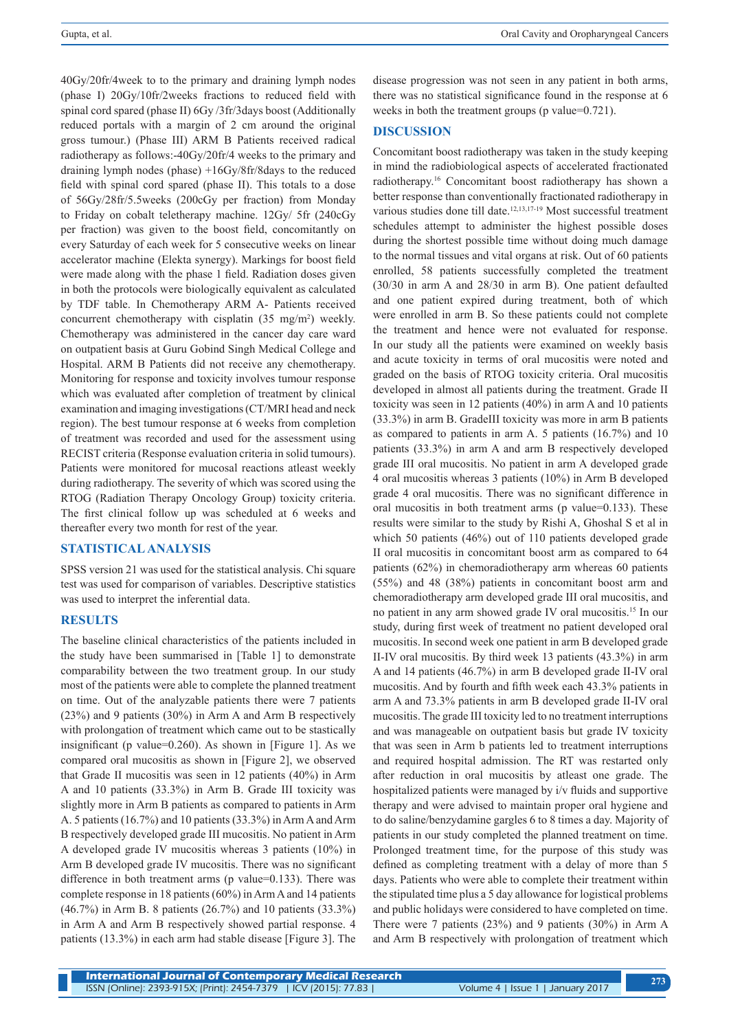40Gy/20fr/4week to to the primary and draining lymph nodes (phase I) 20Gy/10fr/2weeks fractions to reduced field with spinal cord spared (phase II) 6Gy /3fr/3days boost (Additionally reduced portals with a margin of 2 cm around the original gross tumour.) (Phase III) ARM B Patients received radical radiotherapy as follows:-40Gy/20fr/4 weeks to the primary and draining lymph nodes (phase) +16Gy/8fr/8days to the reduced field with spinal cord spared (phase II). This totals to a dose of 56Gy/28fr/5.5weeks (200cGy per fraction) from Monday to Friday on cobalt teletherapy machine. 12Gy/ 5fr (240cGy per fraction) was given to the boost field, concomitantly on every Saturday of each week for 5 consecutive weeks on linear accelerator machine (Elekta synergy). Markings for boost field were made along with the phase 1 field. Radiation doses given in both the protocols were biologically equivalent as calculated by TDF table. In Chemotherapy ARM A- Patients received concurrent chemotherapy with cisplatin  $(35 \text{ mg/m}^2)$  weekly. Chemotherapy was administered in the cancer day care ward on outpatient basis at Guru Gobind Singh Medical College and Hospital. ARM B Patients did not receive any chemotherapy. Monitoring for response and toxicity involves tumour response which was evaluated after completion of treatment by clinical examination and imaging investigations (CT/MRI head and neck region). The best tumour response at 6 weeks from completion of treatment was recorded and used for the assessment using RECIST criteria (Response evaluation criteria in solid tumours). Patients were monitored for mucosal reactions atleast weekly during radiotherapy. The severity of which was scored using the RTOG (Radiation Therapy Oncology Group) toxicity criteria. The first clinical follow up was scheduled at 6 weeks and thereafter every two month for rest of the year.

## **STATISTICAL ANALYSIS**

SPSS version 21 was used for the statistical analysis. Chi square test was used for comparison of variables. Descriptive statistics was used to interpret the inferential data.

## **RESULTS**

The baseline clinical characteristics of the patients included in the study have been summarised in [Table 1] to demonstrate comparability between the two treatment group. In our study most of the patients were able to complete the planned treatment on time. Out of the analyzable patients there were 7 patients (23%) and 9 patients (30%) in Arm A and Arm B respectively with prolongation of treatment which came out to be stastically insignificant (p value=0.260). As shown in [Figure 1]. As we compared oral mucositis as shown in [Figure 2], we observed that Grade II mucositis was seen in 12 patients (40%) in Arm A and 10 patients (33.3%) in Arm B. Grade III toxicity was slightly more in Arm B patients as compared to patients in Arm A. 5 patients (16.7%) and 10 patients (33.3%) in Arm A and Arm B respectively developed grade III mucositis. No patient in Arm A developed grade IV mucositis whereas 3 patients (10%) in Arm B developed grade IV mucositis. There was no significant difference in both treatment arms (p value=0.133). There was complete response in 18 patients (60%) in Arm A and 14 patients (46.7%) in Arm B. 8 patients (26.7%) and 10 patients (33.3%) in Arm A and Arm B respectively showed partial response. 4 patients (13.3%) in each arm had stable disease [Figure 3]. The disease progression was not seen in any patient in both arms, there was no statistical significance found in the response at 6 weeks in both the treatment groups (p value=0.721).

## **DISCUSSION**

Concomitant boost radiotherapy was taken in the study keeping in mind the radiobiological aspects of accelerated fractionated radiotherapy.16 Concomitant boost radiotherapy has shown a better response than conventionally fractionated radiotherapy in various studies done till date.12,13,17-19 Most successful treatment schedules attempt to administer the highest possible doses during the shortest possible time without doing much damage to the normal tissues and vital organs at risk. Out of 60 patients enrolled, 58 patients successfully completed the treatment (30/30 in arm A and 28/30 in arm B). One patient defaulted and one patient expired during treatment, both of which were enrolled in arm B. So these patients could not complete the treatment and hence were not evaluated for response. In our study all the patients were examined on weekly basis and acute toxicity in terms of oral mucositis were noted and graded on the basis of RTOG toxicity criteria. Oral mucositis developed in almost all patients during the treatment. Grade II toxicity was seen in 12 patients (40%) in arm A and 10 patients (33.3%) in arm B. GradeIII toxicity was more in arm B patients as compared to patients in arm A. 5 patients (16.7%) and 10 patients (33.3%) in arm A and arm B respectively developed grade III oral mucositis. No patient in arm A developed grade 4 oral mucositis whereas 3 patients (10%) in Arm B developed grade 4 oral mucositis. There was no significant difference in oral mucositis in both treatment arms (p value=0.133). These results were similar to the study by Rishi A, Ghoshal S et al in which 50 patients (46%) out of 110 patients developed grade II oral mucositis in concomitant boost arm as compared to 64 patients (62%) in chemoradiotherapy arm whereas 60 patients (55%) and 48 (38%) patients in concomitant boost arm and chemoradiotherapy arm developed grade III oral mucositis, and no patient in any arm showed grade IV oral mucositis.15 In our study, during first week of treatment no patient developed oral mucositis. In second week one patient in arm B developed grade II-IV oral mucositis. By third week 13 patients (43.3%) in arm A and 14 patients (46.7%) in arm B developed grade II-IV oral mucositis. And by fourth and fifth week each 43.3% patients in arm A and 73.3% patients in arm B developed grade II-IV oral mucositis. The grade III toxicity led to no treatment interruptions and was manageable on outpatient basis but grade IV toxicity that was seen in Arm b patients led to treatment interruptions and required hospital admission. The RT was restarted only after reduction in oral mucositis by atleast one grade. The hospitalized patients were managed by i/v fluids and supportive therapy and were advised to maintain proper oral hygiene and to do saline/benzydamine gargles 6 to 8 times a day. Majority of patients in our study completed the planned treatment on time. Prolonged treatment time, for the purpose of this study was defined as completing treatment with a delay of more than 5 days. Patients who were able to complete their treatment within the stipulated time plus a 5 day allowance for logistical problems and public holidays were considered to have completed on time. There were 7 patients (23%) and 9 patients (30%) in Arm A and Arm B respectively with prolongation of treatment which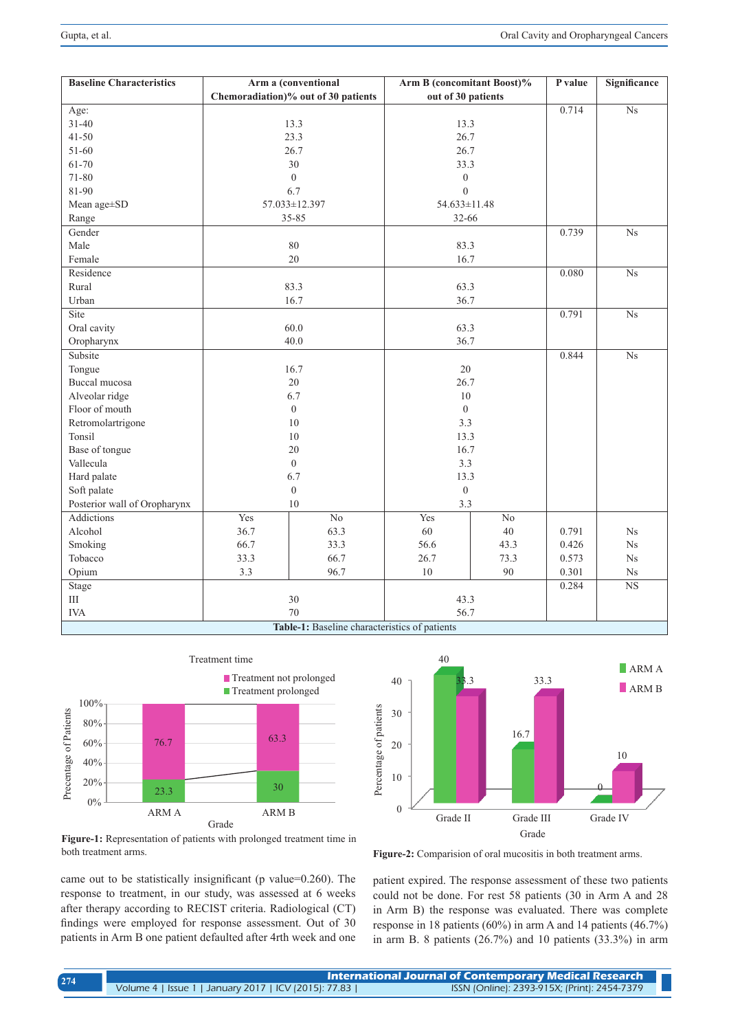| <b>Baseline Characteristics</b>              | Arm a (conventional                 |                 | <b>Arm B</b> (concomitant Boost)% |                 | P value | Significance           |
|----------------------------------------------|-------------------------------------|-----------------|-----------------------------------|-----------------|---------|------------------------|
|                                              | Chemoradiation)% out of 30 patients |                 | out of 30 patients                |                 |         |                        |
| Age:                                         |                                     |                 |                                   |                 | 0.714   | $\overline{\text{Ns}}$ |
| $31 - 40$                                    | 13.3                                |                 | 13.3                              |                 |         |                        |
| $41 - 50$                                    | 23.3                                |                 | 26.7                              |                 |         |                        |
| 51-60                                        | 26.7                                |                 | 26.7                              |                 |         |                        |
| 61-70                                        | 30                                  |                 | 33.3                              |                 |         |                        |
| 71-80                                        | $\theta$                            |                 | $\overline{0}$                    |                 |         |                        |
| 81-90                                        | 6.7                                 |                 | $\theta$                          |                 |         |                        |
| Mean age±SD                                  | 57.033±12.397                       |                 | 54.633±11.48                      |                 |         |                        |
| Range                                        | 35-85                               |                 | $32 - 66$                         |                 |         |                        |
| Gender                                       |                                     |                 |                                   |                 | 0.739   | $_{\mathrm{Ns}}$       |
| Male                                         | 80                                  |                 | 83.3                              |                 |         |                        |
| Female                                       | 20                                  |                 | 16.7                              |                 |         |                        |
| Residence                                    |                                     |                 |                                   |                 | 0.080   | $\overline{\text{Ns}}$ |
| Rural                                        | 83.3                                |                 | 63.3                              |                 |         |                        |
| Urban                                        | 16.7                                |                 | 36.7                              |                 |         |                        |
| Site                                         |                                     |                 |                                   |                 | 0.791   | $_{\mathrm{Ns}}$       |
| Oral cavity                                  | 60.0                                |                 | 63.3                              |                 |         |                        |
| Oropharynx                                   | 40.0                                |                 | 36.7                              |                 |         |                        |
| Subsite                                      |                                     |                 |                                   |                 | 0.844   | $_{\mathrm{Ns}}$       |
| Tongue                                       | 16.7                                |                 | 20                                |                 |         |                        |
| Buccal mucosa                                | 20                                  |                 | 26.7                              |                 |         |                        |
| Alveolar ridge                               | 6.7                                 |                 | 10                                |                 |         |                        |
| Floor of mouth                               | $\mathbf{0}$                        |                 | $\mathbf{0}$                      |                 |         |                        |
| Retromolartrigone                            | 10                                  |                 | 3.3                               |                 |         |                        |
| Tonsil                                       | $10\,$                              |                 | 13.3                              |                 |         |                        |
| Base of tongue                               | 20                                  |                 | 16.7                              |                 |         |                        |
| Vallecula                                    | $\boldsymbol{0}$                    |                 | 3.3                               |                 |         |                        |
| Hard palate                                  | 6.7                                 |                 | 13.3                              |                 |         |                        |
| Soft palate                                  | $\boldsymbol{0}$                    |                 | $\boldsymbol{0}$                  |                 |         |                        |
| Posterior wall of Oropharynx                 | $10\,$                              |                 | 3.3                               |                 |         |                        |
| <b>Addictions</b>                            | Yes                                 | $\overline{No}$ | Yes                               | $\overline{No}$ |         |                        |
| Alcohol                                      | 36.7                                | 63.3            | 60                                | 40              | 0.791   | Ns                     |
| Smoking                                      | 66.7                                | 33.3            | 56.6                              | 43.3            | 0.426   | Ns                     |
| Tobacco                                      | 33.3                                | 66.7            | 26.7                              | 73.3            | 0.573   | $_{\mathrm{Ns}}$       |
| Opium                                        | 3.3                                 | 96.7            | 10                                | 90              | 0.301   | Ns                     |
| <b>Stage</b>                                 |                                     |                 |                                   |                 | 0.284   | $\overline{\text{NS}}$ |
| $\rm III$                                    | 30                                  |                 | 43.3                              |                 |         |                        |
| <b>IVA</b>                                   | 70                                  |                 | 56.7                              |                 |         |                        |
| Table 1. Deceling characteristics of nations |                                     |                 |                                   |                 |         |                        |

**Table-1:** Baseline characteristics of patients



**Figure-1:** Representation of patients with prolonged treatment time in both treatment arms.

came out to be statistically insignificant (p value=0.260). The response to treatment, in our study, was assessed at 6 weeks after therapy according to RECIST criteria. Radiological (CT) findings were employed for response assessment. Out of 30 patients in Arm B one patient defaulted after 4rth week and one



**Figure-2:** Comparision of oral mucositis in both treatment arms.

patient expired. The response assessment of these two patients could not be done. For rest 58 patients (30 in Arm A and 28 in Arm B) the response was evaluated. There was complete response in 18 patients (60%) in arm A and 14 patients (46.7%) in arm B. 8 patients (26.7%) and 10 patients (33.3%) in arm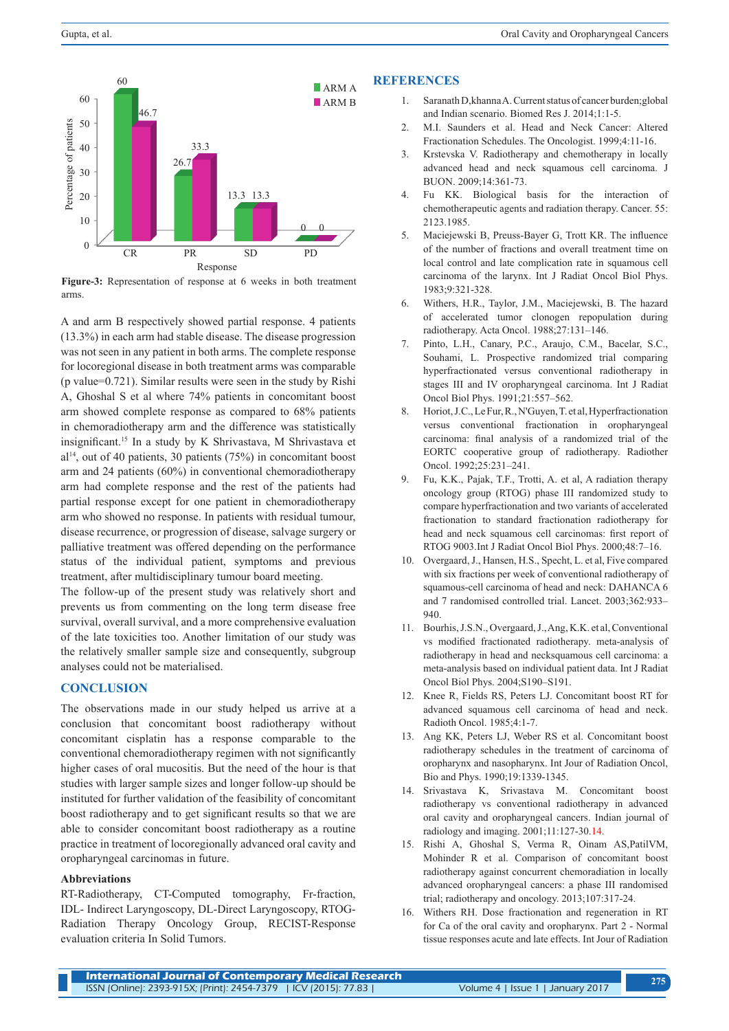

**Figure-3:** Representation of response at 6 weeks in both treatment arms.

A and arm B respectively showed partial response. 4 patients (13.3%) in each arm had stable disease. The disease progression was not seen in any patient in both arms. The complete response for locoregional disease in both treatment arms was comparable (p value=0.721). Similar results were seen in the study by Rishi A, Ghoshal S et al where 74% patients in concomitant boost arm showed complete response as compared to 68% patients in chemoradiotherapy arm and the difference was statistically insignificant.15 In a study by K Shrivastava, M Shrivastava et  $al<sup>14</sup>$ , out of 40 patients, 30 patients (75%) in concomitant boost arm and 24 patients (60%) in conventional chemoradiotherapy arm had complete response and the rest of the patients had partial response except for one patient in chemoradiotherapy arm who showed no response. In patients with residual tumour, disease recurrence, or progression of disease, salvage surgery or palliative treatment was offered depending on the performance status of the individual patient, symptoms and previous treatment, after multidisciplinary tumour board meeting.

The follow-up of the present study was relatively short and prevents us from commenting on the long term disease free survival, overall survival, and a more comprehensive evaluation of the late toxicities too. Another limitation of our study was the relatively smaller sample size and consequently, subgroup analyses could not be materialised.

## **CONCLUSION**

The observations made in our study helped us arrive at a conclusion that concomitant boost radiotherapy without concomitant cisplatin has a response comparable to the conventional chemoradiotherapy regimen with not significantly higher cases of oral mucositis. But the need of the hour is that studies with larger sample sizes and longer follow-up should be instituted for further validation of the feasibility of concomitant boost radiotherapy and to get significant results so that we are able to consider concomitant boost radiotherapy as a routine practice in treatment of locoregionally advanced oral cavity and oropharyngeal carcinomas in future.

## **Abbreviations**

RT-Radiotherapy, CT-Computed tomography, Fr-fraction, IDL- Indirect Laryngoscopy, DL-Direct Laryngoscopy, RTOG-Radiation Therapy Oncology Group, RECIST-Response evaluation criteria In Solid Tumors.

#### **REFERENCES**

- 1. Saranath D,khanna A. Current status of cancer burden;global and Indian scenario. Biomed Res J. 2014;1:1-5.
- 2. M.I. Saunders et al. Head and Neck Cancer: Altered Fractionation Schedules. The Oncologist. 1999;4:11-16.
- 3. Krstevska V. Radiotherapy and chemotherapy in locally advanced head and neck squamous cell carcinoma. J BUON. 2009;14:361-73.
- 4. Fu KK. Biological basis for the interaction of chemotherapeutic agents and radiation therapy. Cancer. 55: 2123.1985.
- 5. Maciejewski B, Preuss-Bayer G, Trott KR. The influence of the number of fractions and overall treatment time on local control and late complication rate in squamous cell carcinoma of the larynx. Int J Radiat Oncol Biol Phys. 1983;9:321-328.
- 6. Withers, H.R., Taylor, J.M., Maciejewski, B. The hazard of accelerated tumor clonogen repopulation during radiotherapy. Acta Oncol. 1988;27:131–146.
- 7. Pinto, L.H., Canary, P.C., Araujo, C.M., Bacelar, S.C., Souhami, L. Prospective randomized trial comparing hyperfractionated versus conventional radiotherapy in stages III and IV oropharyngeal carcinoma. Int J Radiat Oncol Biol Phys. 1991;21:557–562.
- 8. Horiot, J.C., Le Fur, R., N'Guyen, T. et al, Hyperfractionation versus conventional fractionation in oropharyngeal carcinoma: final analysis of a randomized trial of the EORTC cooperative group of radiotherapy. Radiother Oncol. 1992;25:231–241.
- 9. Fu, K.K., Pajak, T.F., Trotti, A. et al, A radiation therapy oncology group (RTOG) phase III randomized study to compare hyperfractionation and two variants of accelerated fractionation to standard fractionation radiotherapy for head and neck squamous cell carcinomas: first report of RTOG 9003.Int J Radiat Oncol Biol Phys. 2000;48:7–16.
- 10. Overgaard, J., Hansen, H.S., Specht, L. et al, Five compared with six fractions per week of conventional radiotherapy of squamous-cell carcinoma of head and neck: DAHANCA 6 and 7 randomised controlled trial. Lancet. 2003;362:933– 940.
- 11. Bourhis, J.S.N., Overgaard, J., Ang, K.K. et al, Conventional vs modified fractionated radiotherapy. meta-analysis of radiotherapy in head and necksquamous cell carcinoma: a meta-analysis based on individual patient data. Int J Radiat Oncol Biol Phys. 2004;S190–S191.
- 12. Knee R, Fields RS, Peters LJ. Concomitant boost RT for advanced squamous cell carcinoma of head and neck. Radioth Oncol. 1985;4:1-7.
- 13. Ang KK, Peters LJ, Weber RS et al. Concomitant boost radiotherapy schedules in the treatment of carcinoma of oropharynx and nasopharynx. Int Jour of Radiation Oncol, Bio and Phys. 1990;19:1339-1345.
- 14. Srivastava K, Srivastava M. Concomitant boost radiotherapy vs conventional radiotherapy in advanced oral cavity and oropharyngeal cancers. Indian journal of radiology and imaging. 2001;11:127-30.14.
- 15. Rishi A, Ghoshal S, Verma R, Oinam AS,PatilVM, Mohinder R et al. Comparison of concomitant boost radiotherapy against concurrent chemoradiation in locally advanced oropharyngeal cancers: a phase III randomised trial; radiotherapy and oncology. 2013;107:317-24.
- 16. Withers RH. Dose fractionation and regeneration in RT for Ca of the oral cavity and oropharynx. Part 2 - Normal tissue responses acute and late effects. Int Jour of Radiation